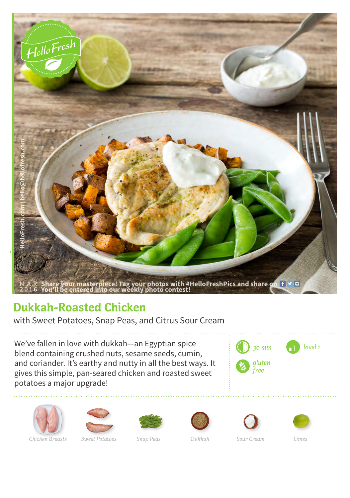

## **Dukkah-Roasted Chicken**

with Sweet Potatoes, Snap Peas, and Citrus Sour Cream

We've fallen in love with dukkah—an Egyptian spice blend containing crushed nuts, sesame seeds, cumin, and coriander. It's earthy and nutty in all the best ways. It gives this simple, pan-seared chicken and roasted sweet potatoes a major upgrade!







*Chicken Breasts Sweet Potatoes Snap Peas Dukkah Sour Cream Limes*